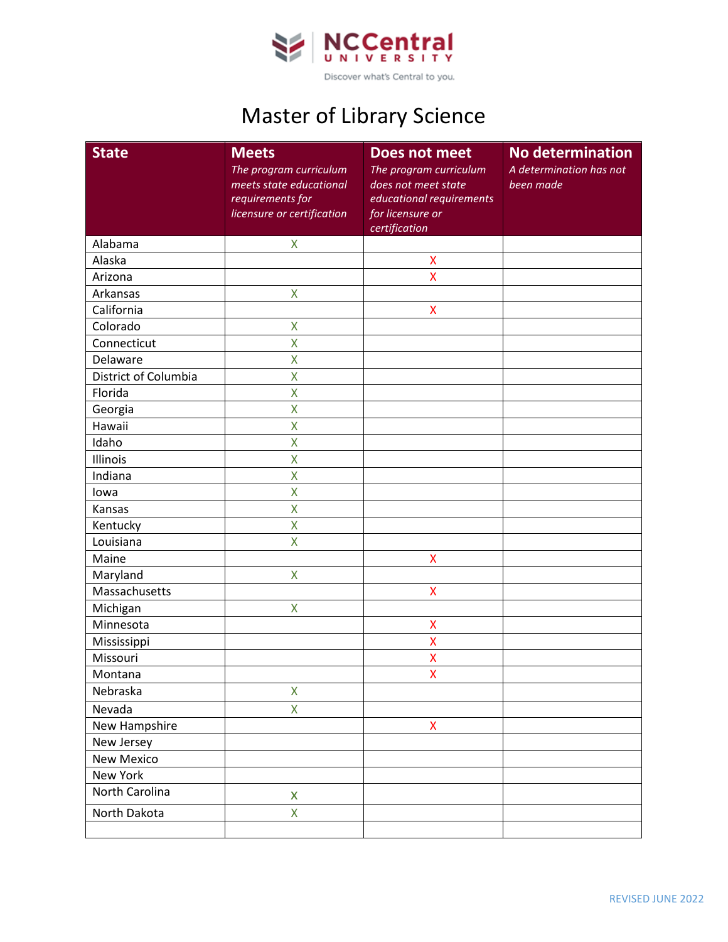

## Master of Library Science

| <b>State</b>         | <b>Meets</b><br>The program curriculum<br>meets state educational<br>requirements for<br>licensure or certification | <b>Does not meet</b><br>The program curriculum<br>does not meet state<br>educational requirements<br>for licensure or | <b>No determination</b><br>A determination has not<br>been made |
|----------------------|---------------------------------------------------------------------------------------------------------------------|-----------------------------------------------------------------------------------------------------------------------|-----------------------------------------------------------------|
|                      |                                                                                                                     | certification                                                                                                         |                                                                 |
| Alabama              | X                                                                                                                   |                                                                                                                       |                                                                 |
| Alaska               |                                                                                                                     | $\pmb{\mathsf{X}}$                                                                                                    |                                                                 |
| Arizona              |                                                                                                                     | X                                                                                                                     |                                                                 |
| Arkansas             | X                                                                                                                   |                                                                                                                       |                                                                 |
| California           |                                                                                                                     | $\pmb{\mathsf{X}}$                                                                                                    |                                                                 |
| Colorado             | X                                                                                                                   |                                                                                                                       |                                                                 |
| Connecticut          | X                                                                                                                   |                                                                                                                       |                                                                 |
| Delaware             | X                                                                                                                   |                                                                                                                       |                                                                 |
| District of Columbia | X                                                                                                                   |                                                                                                                       |                                                                 |
| Florida              | X                                                                                                                   |                                                                                                                       |                                                                 |
| Georgia              | X                                                                                                                   |                                                                                                                       |                                                                 |
| Hawaii               | X                                                                                                                   |                                                                                                                       |                                                                 |
| Idaho                | X                                                                                                                   |                                                                                                                       |                                                                 |
| Illinois             | X                                                                                                                   |                                                                                                                       |                                                                 |
| Indiana              | X                                                                                                                   |                                                                                                                       |                                                                 |
| lowa                 | X                                                                                                                   |                                                                                                                       |                                                                 |
| Kansas               | X                                                                                                                   |                                                                                                                       |                                                                 |
| Kentucky             | X                                                                                                                   |                                                                                                                       |                                                                 |
| Louisiana            | X                                                                                                                   |                                                                                                                       |                                                                 |
| Maine                |                                                                                                                     | X                                                                                                                     |                                                                 |
| Maryland             | X                                                                                                                   |                                                                                                                       |                                                                 |
| Massachusetts        |                                                                                                                     | X                                                                                                                     |                                                                 |
| Michigan             | X                                                                                                                   |                                                                                                                       |                                                                 |
| Minnesota            |                                                                                                                     | X                                                                                                                     |                                                                 |
| Mississippi          |                                                                                                                     | $\overline{\mathsf{x}}$                                                                                               |                                                                 |
| Missouri             |                                                                                                                     | X                                                                                                                     |                                                                 |
| Montana              |                                                                                                                     | X                                                                                                                     |                                                                 |
| Nebraska             | X                                                                                                                   |                                                                                                                       |                                                                 |
| Nevada               | X                                                                                                                   |                                                                                                                       |                                                                 |
| New Hampshire        |                                                                                                                     | $\pmb{\mathsf{X}}$                                                                                                    |                                                                 |
| New Jersey           |                                                                                                                     |                                                                                                                       |                                                                 |
| New Mexico           |                                                                                                                     |                                                                                                                       |                                                                 |
| New York             |                                                                                                                     |                                                                                                                       |                                                                 |
| North Carolina       | X                                                                                                                   |                                                                                                                       |                                                                 |
| North Dakota         | X                                                                                                                   |                                                                                                                       |                                                                 |
|                      |                                                                                                                     |                                                                                                                       |                                                                 |